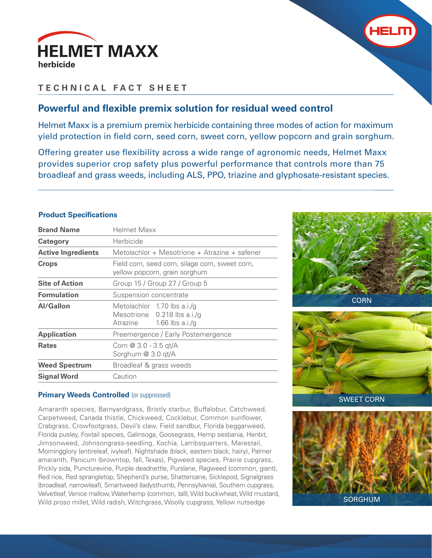



# **TECHNICAL FACT SHEET**

# **Powerful and flexible premix solution for residual weed control**

Helmet Maxx is a premium premix herbicide containing three modes of action for maximum yield protection in field corn, seed corn, sweet corn, yellow popcorn and grain sorghum.

Offering greater use flexibility across a wide range of agronomic needs, Helmet Maxx provides superior crop safety plus powerful performance that controls more than 75 broadleaf and grass weeds, including ALS, PPO, triazine and glyphosate-resistant species.

# **Product Specifications**

| <b>Brand Name</b>         | Helmet Maxx                                                                                |  |
|---------------------------|--------------------------------------------------------------------------------------------|--|
| Category                  | Herbicide                                                                                  |  |
| <b>Active Ingredients</b> | Metolachlor + Mesotrione + Atrazine + safener                                              |  |
| <b>Crops</b>              | Field corn, seed corn, silage corn, sweet corn,<br>yellow popcorn, grain sorghum           |  |
| <b>Site of Action</b>     | Group 15 / Group 27 / Group 5                                                              |  |
| <b>Formulation</b>        | Suspension concentrate                                                                     |  |
| <b>Al/Gallon</b>          | Metolachlor 1.70 lbs a.i./g<br>Mesotrione 0.218 lbs a.i./g<br>1.66 lbs $a.i/g$<br>Atrazine |  |
| <b>Application</b>        | Preemergence / Early Postemergence                                                         |  |
| <b>Rates</b>              | Corn @ 3.0 - 3.5 qt/A<br>Sorghum @ 3.0 qt/A                                                |  |
| <b>Weed Spectrum</b>      | Broadleaf & grass weeds                                                                    |  |
| <b>Signal Word</b>        | Caution                                                                                    |  |

## **Primary Weeds Controlled (or suppressed)**

Amaranth species, Barnyardgrass, Bristly starbur, Buffalobur, Catchweed, Carpetweed, Canada thistle, Chickweed, Cocklebur, Common sunflower, Crabgrass, Crowfootgrass, Devil's claw, Field sandbur, Florida beggarweed, Florida pusley, Foxtail species, Galinsoga, Goosegrass, Hemp sesbania, Henbit, Jimsonweed, Johnsongrass-seedling, Kochia, Lambsquarters, Marestail, Morningglory (entireleaf, ivyleaf), Nightshade (black, eastern black, hairy), Palmer amaranth, Panicum (browntop, fall, Texas), Pigweed species, Prairie cupgrass, Prickly sida, Puncturevine, Purple deadnettle, Purslane, Ragweed (common, giant), Red rice, Red sprangletop, Shepherd's purse, Shattercane, Sicklepod, Signalgrass (broadleaf, narrowleaf), Smartweed (ladysthumb, Pennsylvania), Southern cupgrass, Velvetleaf, Venice mallow, Waterhemp (common, tall), Wild buckwheat, Wild mustard, Wild proso millet, Wild radish, Witchgrass, Woolly cupgrass, Yellow nutsedge